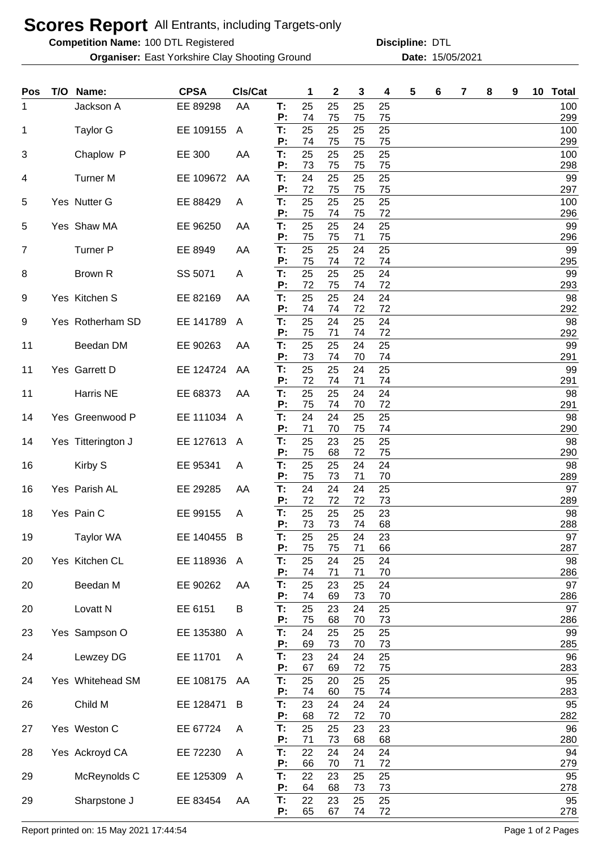## **Scores Report** All Entrants, including Targets-only

**Competition Name:** 100 DTL Registered **Competition Name:** DTL

**Organiser:** East Yorkshire Clay Shooting Ground **15/05/2021** Date: 15/05/2021

**Discipline:**

| Pos | T/O Name:          | <b>CPSA</b> | Cls/Cat      |          | 1        | $\mathbf 2$ | 3        | 4        | 5 | 6 | 7 | 8 | 9 | 10 | <b>Total</b> |
|-----|--------------------|-------------|--------------|----------|----------|-------------|----------|----------|---|---|---|---|---|----|--------------|
| 1   | Jackson A          | EE 89298    | AA           | T:<br>P: | 25<br>74 | 25<br>75    | 25<br>75 | 25<br>75 |   |   |   |   |   |    | 100<br>299   |
| 1   | <b>Taylor G</b>    | EE 109155   | A            | T:<br>P: | 25<br>74 | 25<br>75    | 25<br>75 | 25<br>75 |   |   |   |   |   |    | 100<br>299   |
| 3   | Chaplow P          | EE 300      | AA           | T:       | 25       | 25          | 25       | 25       |   |   |   |   |   |    | 100          |
| 4   | <b>Turner M</b>    | EE 109672   | AA           | P:<br>T: | 73<br>24 | 75<br>25    | 75<br>25 | 75<br>25 |   |   |   |   |   |    | 298<br>99    |
|     |                    |             |              | P:       | 72       | 75          | 75       | 75       |   |   |   |   |   |    | 297          |
| 5   | Yes Nutter G       | EE 88429    | A            | Т:<br>P: | 25<br>75 | 25<br>74    | 25<br>75 | 25<br>72 |   |   |   |   |   |    | 100<br>296   |
| 5   | Yes Shaw MA        | EE 96250    | AA           | T:<br>P: | 25<br>75 | 25<br>75    | 24<br>71 | 25<br>75 |   |   |   |   |   |    | 99<br>296    |
| 7   | <b>Turner P</b>    | EE 8949     | AA           | T:<br>P: | 25<br>75 | 25<br>74    | 24<br>72 | 25<br>74 |   |   |   |   |   |    | 99<br>295    |
| 8   | Brown R            | SS 5071     | A            | T:       | 25       | 25          | 25       | 24       |   |   |   |   |   |    | 99           |
| 9   | Yes Kitchen S      | EE 82169    | AA           | P:<br>T: | 72<br>25 | 75<br>25    | 74<br>24 | 72<br>24 |   |   |   |   |   |    | 293<br>98    |
| 9   | Yes Rotherham SD   | EE 141789   | A            | P:<br>T: | 74<br>25 | 74<br>24    | 72<br>25 | 72<br>24 |   |   |   |   |   |    | 292<br>98    |
|     |                    |             |              | P:       | 75       | 71          | 74       | 72       |   |   |   |   |   |    | 292          |
| 11  | Beedan DM          | EE 90263    | AA           | T:<br>P: | 25<br>73 | 25<br>74    | 24<br>70 | 25<br>74 |   |   |   |   |   |    | 99<br>291    |
| 11  | Yes Garrett D      | EE 124724   | AA           | T:<br>P: | 25<br>72 | 25<br>74    | 24<br>71 | 25<br>74 |   |   |   |   |   |    | 99<br>291    |
| 11  | Harris NE          | EE 68373    | AA           | T:       | 25       | 25          | 24       | 24       |   |   |   |   |   |    | 98           |
| 14  | Yes Greenwood P    | EE 111034   | A            | P:<br>T: | 75<br>24 | 74<br>24    | 70<br>25 | 72<br>25 |   |   |   |   |   |    | 291<br>98    |
|     |                    |             |              | Ρ.<br>T: | 71<br>25 | 70<br>23    | 75<br>25 | 74       |   |   |   |   |   |    | 290<br>98    |
| 14  | Yes Titterington J | EE 127613   | A            | P:       | 75       | 68          | 72       | 25<br>75 |   |   |   |   |   |    | 290          |
| 16  | Kirby S            | EE 95341    | A            | T:<br>P: | 25<br>75 | 25<br>73    | 24<br>71 | 24<br>70 |   |   |   |   |   |    | 98<br>289    |
| 16  | Yes Parish AL      | EE 29285    | AA           | T:       | 24       | 24          | 24       | 25       |   |   |   |   |   |    | 97           |
| 18  | Yes Pain C         | EE 99155    | A            | P:<br>T: | 72<br>25 | 72<br>25    | 72<br>25 | 73<br>23 |   |   |   |   |   |    | 289<br>98    |
| 19  | <b>Taylor WA</b>   | EE 140455   | B            | P:<br>Т: | 73<br>25 | 73<br>25    | 74<br>24 | 68<br>23 |   |   |   |   |   |    | 288<br>97    |
|     |                    |             |              | P:       | 75       | 75          | 71       | 66       |   |   |   |   |   |    | 287          |
| 20  | Yes Kitchen CL     | EE 118936   | $\mathsf{A}$ | T:<br>P: | 25<br>74 | 24<br>71    | 25<br>71 | 24<br>70 |   |   |   |   |   |    | 98<br>286    |
| 20  | Beedan M           | EE 90262    | AA           | T:<br>P: | 25<br>74 | 23<br>69    | 25<br>73 | 24<br>70 |   |   |   |   |   |    | 97<br>286    |
| 20  | Lovatt N           | EE 6151     | B            | T:       | 25       | 23          | 24       | 25       |   |   |   |   |   |    | 97           |
| 23  | Yes Sampson O      | EE 135380   | A            | P:<br>T: | 75<br>24 | 68<br>25    | 70<br>25 | 73<br>25 |   |   |   |   |   |    | 286<br>99    |
| 24  | Lewzey DG          | EE 11701    | A            | P:<br>T: | 69<br>23 | 73<br>24    | 70<br>24 | 73<br>25 |   |   |   |   |   |    | 285<br>96    |
|     |                    |             |              | P:       | 67       | 69          | 72       | 75       |   |   |   |   |   |    | 283          |
| 24  | Yes Whitehead SM   | EE 108175   | AA           | T:<br>Ρ: | 25<br>74 | 20<br>60    | 25<br>75 | 25<br>74 |   |   |   |   |   |    | 95<br>283    |
| 26  | Child M            | EE 128471   | B            | T:<br>P: | 23<br>68 | 24<br>72    | 24<br>72 | 24<br>70 |   |   |   |   |   |    | 95<br>282    |
| 27  | Yes Weston C       | EE 67724    | A            | T:       | 25       | 25          | 23       | 23       |   |   |   |   |   |    | 96           |
| 28  | Yes Ackroyd CA     | EE 72230    | A            | P:<br>T: | 71<br>22 | 73<br>24    | 68<br>24 | 68<br>24 |   |   |   |   |   |    | 280<br>94    |
|     |                    |             |              | P:       | 66<br>22 | 70<br>23    | 71       | 72<br>25 |   |   |   |   |   |    | 279<br>95    |
| 29  | McReynolds C       | EE 125309   | A            | Т.<br>P: | 64       | 68          | 25<br>73 | 73       |   |   |   |   |   |    | 278          |
| 29  | Sharpstone J       | EE 83454    | AA           | Т.<br>P: | 22<br>65 | 23<br>67    | 25<br>74 | 25<br>72 |   |   |   |   |   |    | 95<br>278    |

Report printed on: 15 May 2021 17:44:54 Page 1 of 2 Pages